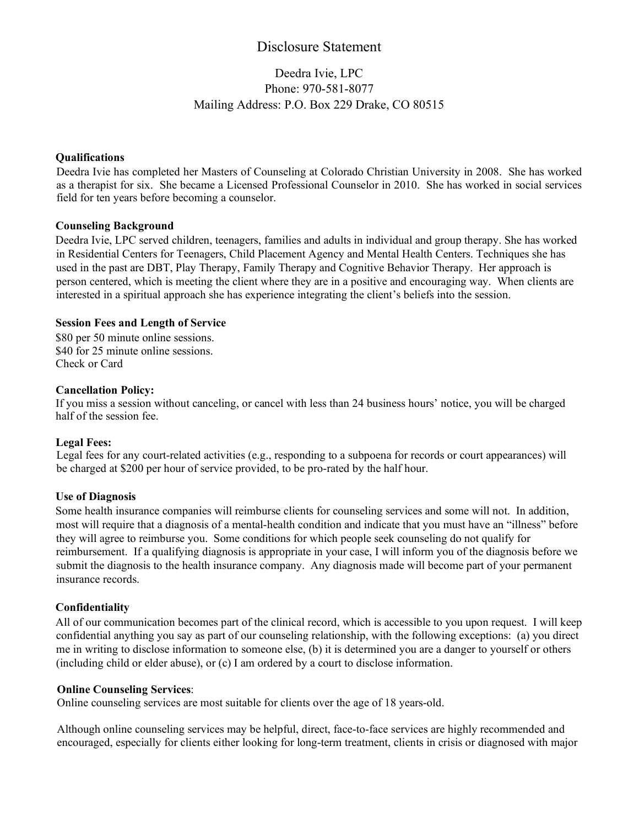# Disclosure Statement

# Deedra Ivie, LPC Phone: 970-581-8077 Mailing Address: P.O. Box 229 Drake, CO 80515

### **Qualifications**

Deedra Ivie has completed her Masters of Counseling at Colorado Christian University in 2008. She has worked as a therapist for six. She became a Licensed Professional Counselor in 2010. She has worked in social services field for ten years before becoming a counselor.

#### **Counseling Background**

Deedra Ivie, LPC served children, teenagers, families and adults in individual and group therapy. She has worked in Residential Centers for Teenagers, Child Placement Agency and Mental Health Centers. Techniques she has used in the past are DBT, Play Therapy, Family Therapy and Cognitive Behavior Therapy. Her approach is person centered, which is meeting the client where they are in a positive and encouraging way. When clients are interested in a spiritual approach she has experience integrating the client's beliefs into the session.

#### **Session Fees and Length of Service**

\$80 per 50 minute online sessions. \$40 for 25 minute online sessions. Check or Card

#### **Cancellation Policy:**

If you miss a session without canceling, or cancel with less than 24 business hours' notice, you will be charged half of the session fee.

#### **Legal Fees:**

Legal fees for any court-related activities (e.g., responding to a subpoena for records or court appearances) will be charged at \$200 per hour of service provided, to be pro-rated by the half hour.

## **Use of Diagnosis**

Some health insurance companies will reimburse clients for counseling services and some will not. In addition, most will require that a diagnosis of a mental-health condition and indicate that you must have an "illness" before they will agree to reimburse you. Some conditions for which people seek counseling do not qualify for reimbursement. If a qualifying diagnosis is appropriate in your case, I will inform you of the diagnosis before we submit the diagnosis to the health insurance company. Any diagnosis made will become part of your permanent insurance records.

#### **Confidentiality**

All of our communication becomes part of the clinical record, which is accessible to you upon request. I will keep confidential anything you say as part of our counseling relationship, with the following exceptions: (a) you direct me in writing to disclose information to someone else, (b) it is determined you are a danger to yourself or others (including child or elder abuse), or (c) I am ordered by a court to disclose information.

#### **Online Counseling Services**:

Online counseling services are most suitable for clients over the age of 18 years-old.

Although online counseling services may be helpful, direct, face-to-face services are highly recommended and encouraged, especially for clients either looking for long-term treatment, clients in crisis or diagnosed with major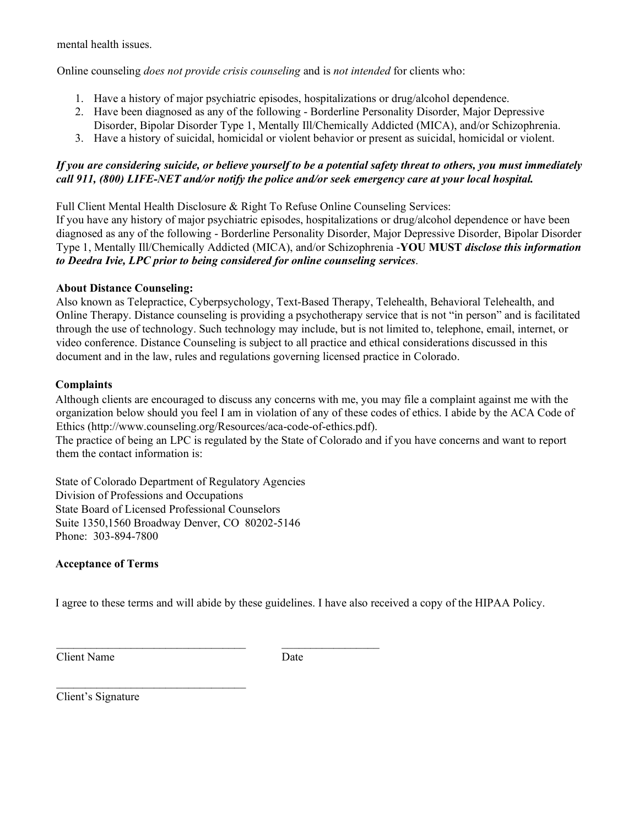mental health issues.

Online counseling *does not provide crisis counseling* and is *not intended* for clients who:

- 1. Have a history of major psychiatric episodes, hospitalizations or drug/alcohol dependence.
- 2. Have been diagnosed as any of the following Borderline Personality Disorder, Major Depressive Disorder, Bipolar Disorder Type 1, Mentally Ill/Chemically Addicted (MICA), and/or Schizophrenia.
- 3. Have a history of suicidal, homicidal or violent behavior or present as suicidal, homicidal or violent.

## *If you are considering suicide, or believe yourself to be a potential safety threat to others, you must immediately call 911, (800) LIFE-NET and/or notify the police and/or seek emergency care at your local hospital.*

Full Client Mental Health Disclosure & Right To Refuse Online Counseling Services:

If you have any history of major psychiatric episodes, hospitalizations or drug/alcohol dependence or have been diagnosed as any of the following - Borderline Personality Disorder, Major Depressive Disorder, Bipolar Disorder Type 1, Mentally Ill/Chemically Addicted (MICA), and/or Schizophrenia -**YOU MUST** *disclose this information to Deedra Ivie, LPC prior to being considered for online counseling services*.

## **About Distance Counseling:**

Also known as Telepractice, Cyberpsychology, Text-Based Therapy, Telehealth, Behavioral Telehealth, and Online Therapy. Distance counseling is providing a psychotherapy service that is not "in person" and is facilitated through the use of technology. Such technology may include, but is not limited to, telephone, email, internet, or video conference. Distance Counseling is subject to all practice and ethical considerations discussed in this document and in the law, rules and regulations governing licensed practice in Colorado.

## **Complaints**

Although clients are encouraged to discuss any concerns with me, you may file a complaint against me with the organization below should you feel I am in violation of any of these codes of ethics. I abide by the ACA Code of Ethics (http://www.counseling.org/Resources/aca-code-of-ethics.pdf).

The practice of being an LPC is regulated by the State of Colorado and if you have concerns and want to report them the contact information is:

State of Colorado Department of Regulatory Agencies Division of Professions and Occupations State Board of Licensed Professional Counselors Suite 1350,1560 Broadway Denver, CO 80202-5146 Phone: 303-894-7800

\_\_\_\_\_\_\_\_\_\_\_\_\_\_\_\_\_\_\_\_\_\_\_\_\_\_\_\_\_\_\_\_\_ \_\_\_\_\_\_\_\_\_\_\_\_\_\_\_\_\_

## **Acceptance of Terms**

I agree to these terms and will abide by these guidelines. I have also received a copy of the HIPAA Policy.

Client Name Date

Client's Signature

 $\mathcal{L}_\text{max}$  , where  $\mathcal{L}_\text{max}$  and  $\mathcal{L}_\text{max}$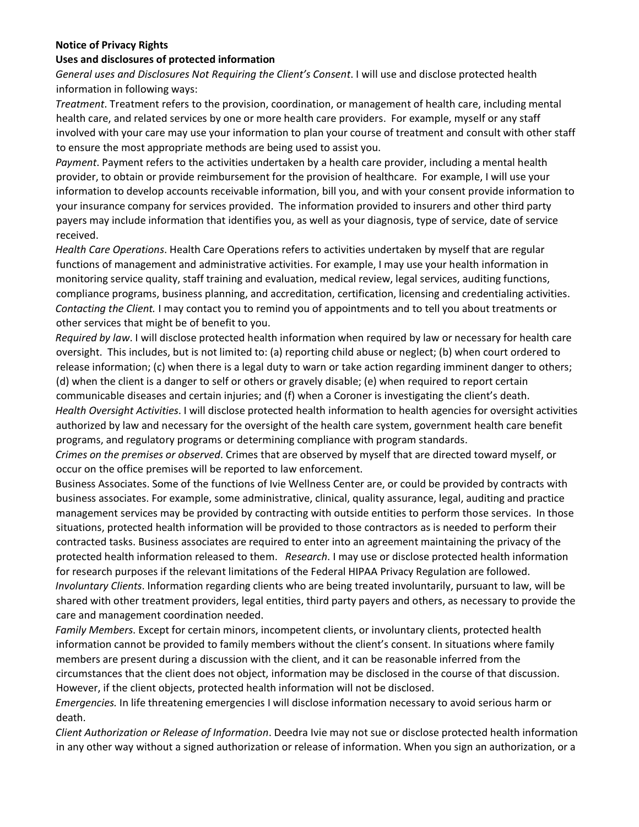## **Notice of Privacy Rights**

## **Uses and disclosures of protected information**

*General uses and Disclosures Not Requiring the Client's Consent*. I will use and disclose protected health information in following ways:

*Treatment*. Treatment refers to the provision, coordination, or management of health care, including mental health care, and related services by one or more health care providers. For example, myself or any staff involved with your care may use your information to plan your course of treatment and consult with other staff to ensure the most appropriate methods are being used to assist you.

*Payment*. Payment refers to the activities undertaken by a health care provider, including a mental health provider, to obtain or provide reimbursement for the provision of healthcare. For example, I will use your information to develop accounts receivable information, bill you, and with your consent provide information to your insurance company for services provided. The information provided to insurers and other third party payers may include information that identifies you, as well as your diagnosis, type of service, date of service received.

*Health Care Operations*. Health Care Operations refers to activities undertaken by myself that are regular functions of management and administrative activities. For example, I may use your health information in monitoring service quality, staff training and evaluation, medical review, legal services, auditing functions, compliance programs, business planning, and accreditation, certification, licensing and credentialing activities. *Contacting the Client.* I may contact you to remind you of appointments and to tell you about treatments or other services that might be of benefit to you.

*Required by law*. I will disclose protected health information when required by law or necessary for health care oversight. This includes, but is not limited to: (a) reporting child abuse or neglect; (b) when court ordered to release information; (c) when there is a legal duty to warn or take action regarding imminent danger to others; (d) when the client is a danger to self or others or gravely disable; (e) when required to report certain communicable diseases and certain injuries; and (f) when a Coroner is investigating the client's death. *Health Oversight Activities*. I will disclose protected health information to health agencies for oversight activities authorized by law and necessary for the oversight of the health care system, government health care benefit programs, and regulatory programs or determining compliance with program standards.

*Crimes on the premises or observed*. Crimes that are observed by myself that are directed toward myself, or occur on the office premises will be reported to law enforcement.

Business Associates. Some of the functions of Ivie Wellness Center are, or could be provided by contracts with business associates. For example, some administrative, clinical, quality assurance, legal, auditing and practice management services may be provided by contracting with outside entities to perform those services. In those situations, protected health information will be provided to those contractors as is needed to perform their contracted tasks. Business associates are required to enter into an agreement maintaining the privacy of the protected health information released to them. *Research*. I may use or disclose protected health information for research purposes if the relevant limitations of the Federal HIPAA Privacy Regulation are followed. *Involuntary Clients*. Information regarding clients who are being treated involuntarily, pursuant to law, will be shared with other treatment providers, legal entities, third party payers and others, as necessary to provide the care and management coordination needed.

*Family Members*. Except for certain minors, incompetent clients, or involuntary clients, protected health information cannot be provided to family members without the client's consent. In situations where family members are present during a discussion with the client, and it can be reasonable inferred from the circumstances that the client does not object, information may be disclosed in the course of that discussion. However, if the client objects, protected health information will not be disclosed.

*Emergencies.* In life threatening emergencies I will disclose information necessary to avoid serious harm or death.

*Client Authorization or Release of Information*. Deedra Ivie may not sue or disclose protected health information in any other way without a signed authorization or release of information. When you sign an authorization, or a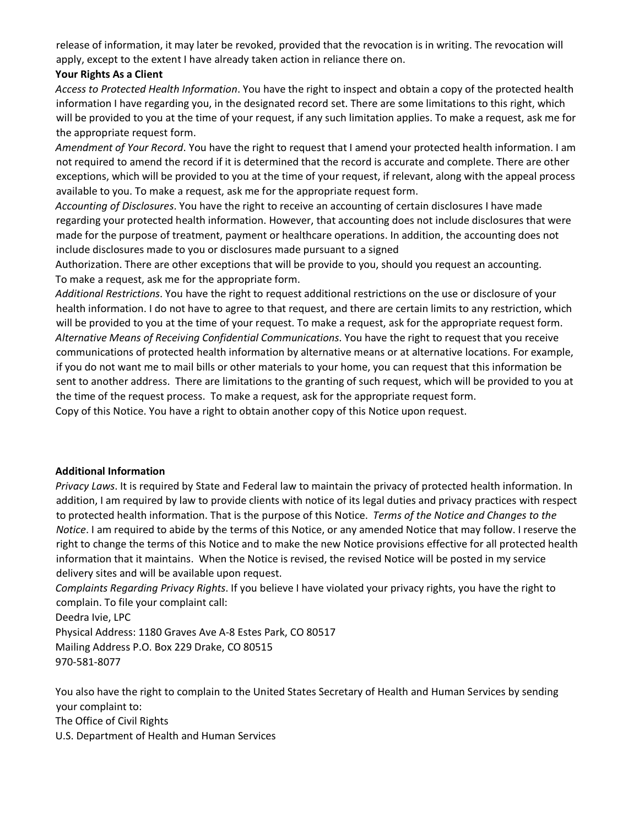release of information, it may later be revoked, provided that the revocation is in writing. The revocation will apply, except to the extent I have already taken action in reliance there on.

## **Your Rights As a Client**

*Access to Protected Health Information*. You have the right to inspect and obtain a copy of the protected health information I have regarding you, in the designated record set. There are some limitations to this right, which will be provided to you at the time of your request, if any such limitation applies. To make a request, ask me for the appropriate request form.

*Amendment of Your Record*. You have the right to request that I amend your protected health information. I am not required to amend the record if it is determined that the record is accurate and complete. There are other exceptions, which will be provided to you at the time of your request, if relevant, along with the appeal process available to you. To make a request, ask me for the appropriate request form.

*Accounting of Disclosures*. You have the right to receive an accounting of certain disclosures I have made regarding your protected health information. However, that accounting does not include disclosures that were made for the purpose of treatment, payment or healthcare operations. In addition, the accounting does not include disclosures made to you or disclosures made pursuant to a signed

Authorization. There are other exceptions that will be provide to you, should you request an accounting. To make a request, ask me for the appropriate form.

*Additional Restrictions*. You have the right to request additional restrictions on the use or disclosure of your health information. I do not have to agree to that request, and there are certain limits to any restriction, which will be provided to you at the time of your request. To make a request, ask for the appropriate request form. *Alternative Means of Receiving Confidential Communications*. You have the right to request that you receive communications of protected health information by alternative means or at alternative locations. For example, if you do not want me to mail bills or other materials to your home, you can request that this information be sent to another address. There are limitations to the granting of such request, which will be provided to you at the time of the request process. To make a request, ask for the appropriate request form. Copy of this Notice. You have a right to obtain another copy of this Notice upon request.

## **Additional Information**

*Privacy Laws*. It is required by State and Federal law to maintain the privacy of protected health information. In addition, I am required by law to provide clients with notice of its legal duties and privacy practices with respect to protected health information. That is the purpose of this Notice. *Terms of the Notice and Changes to the Notice*. I am required to abide by the terms of this Notice, or any amended Notice that may follow. I reserve the right to change the terms of this Notice and to make the new Notice provisions effective for all protected health information that it maintains. When the Notice is revised, the revised Notice will be posted in my service delivery sites and will be available upon request.

*Complaints Regarding Privacy Rights*. If you believe I have violated your privacy rights, you have the right to complain. To file your complaint call:

Deedra Ivie, LPC

Physical Address: 1180 Graves Ave A-8 Estes Park, CO 80517 Mailing Address P.O. Box 229 Drake, CO 80515 970-581-8077

You also have the right to complain to the United States Secretary of Health and Human Services by sending your complaint to: The Office of Civil Rights

U.S. Department of Health and Human Services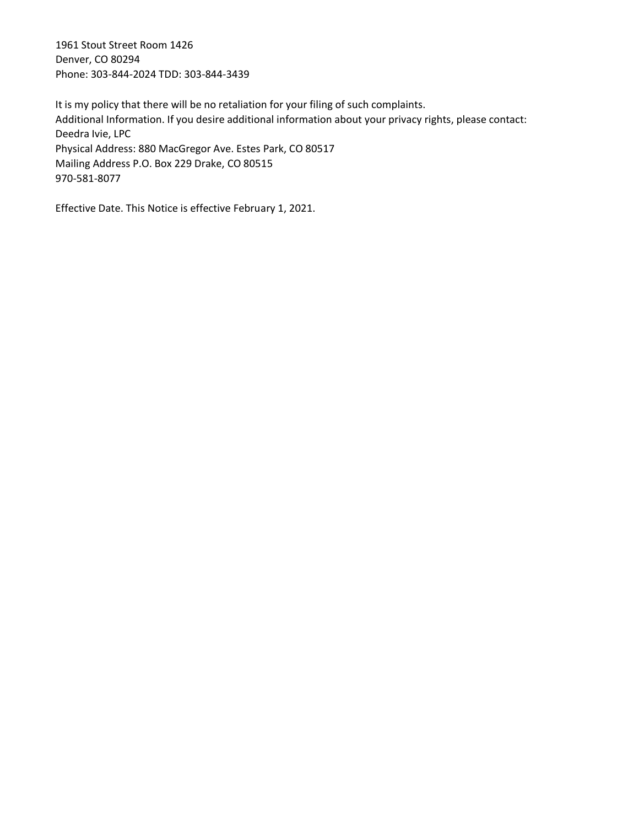1961 Stout Street Room 1426 Denver, CO 80294 Phone: 303-844-2024 TDD: 303-844-3439

It is my policy that there will be no retaliation for your filing of such complaints. Additional Information. If you desire additional information about your privacy rights, please contact: Deedra Ivie, LPC Physical Address: 880 MacGregor Ave. Estes Park, CO 80517 Mailing Address P.O. Box 229 Drake, CO 80515 970-581-8077

Effective Date. This Notice is effective February 1, 2021.